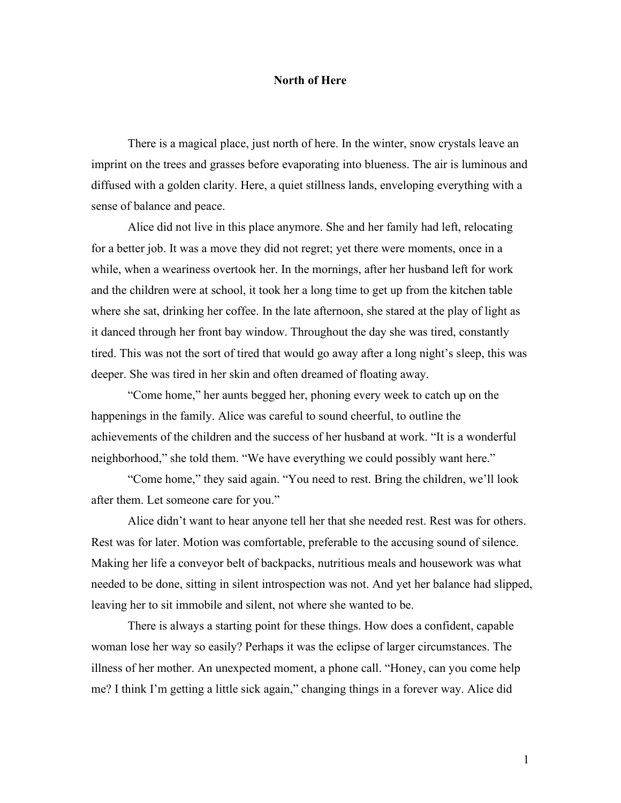## **North of Here**

There is a magical place, just north of here. In the winter, snow crystals leave an imprint on the trees and grasses before evaporating into blueness. The air is luminous and diffused with a golden clarity. Here, a quiet stillness lands, enveloping everything with a sense of balance and peace.

Alice did not live in this place anymore. She and her family had left, relocating for a better job. It was a move they did not regret; yet there were moments, once in a while, when a weariness overtook her. In the mornings, after her husband left for work and the children were at school, it took her a long time to get up from the kitchen table where she sat, drinking her coffee. In the late afternoon, she stared at the play of light as it danced through her front bay window. Throughout the day she was tired, constantly tired. This was not the sort of tired that would go away after a long night's sleep, this was deeper. She was tired in her skin and often dreamed of floating away.

"Come home," her aunts begged her, phoning every week to catch up on the happenings in the family. Alice was careful to sound cheerful, to outline the achievements of the children and the success of her husband at work. "It is a wonderful neighborhood," she told them. "We have everything we could possibly want here."

"Come home," they said again. "You need to rest. Bring the children, we'll look after them. Let someone care for you."

Alice didn't want to hear anyone tell her that she needed rest. Rest was for others. Rest was for later. Motion was comfortable, preferable to the accusing sound of silence. Making her life a conveyor belt of backpacks, nutritious meals and housework was what needed to be done, sitting in silent introspection was not. And yet her balance had slipped, leaving her to sit immobile and silent, not where she wanted to be.

There is always a starting point for these things. How does a confident, capable woman lose her way so easily? Perhaps it was the eclipse of larger circumstances. The illness of her mother. An unexpected moment, a phone call. "Honey, can you come help me? I think I'm getting a little sick again," changing things in a forever way. Alice did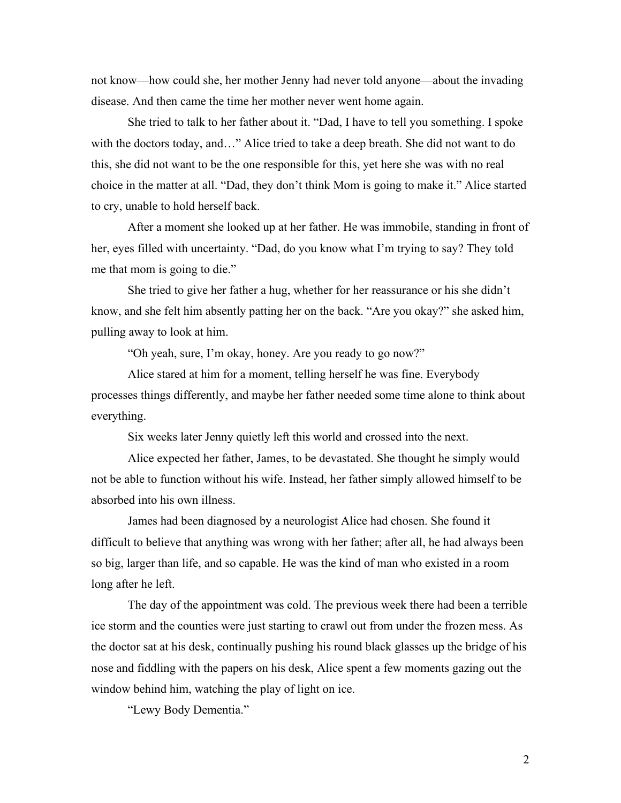not know—how could she, her mother Jenny had never told anyone—about the invading disease. And then came the time her mother never went home again.

She tried to talk to her father about it. "Dad, I have to tell you something. I spoke with the doctors today, and…" Alice tried to take a deep breath. She did not want to do this, she did not want to be the one responsible for this, yet here she was with no real choice in the matter at all. "Dad, they don't think Mom is going to make it." Alice started to cry, unable to hold herself back.

After a moment she looked up at her father. He was immobile, standing in front of her, eyes filled with uncertainty. "Dad, do you know what I'm trying to say? They told me that mom is going to die."

She tried to give her father a hug, whether for her reassurance or his she didn't know, and she felt him absently patting her on the back. "Are you okay?" she asked him, pulling away to look at him.

"Oh yeah, sure, I'm okay, honey. Are you ready to go now?"

Alice stared at him for a moment, telling herself he was fine. Everybody processes things differently, and maybe her father needed some time alone to think about everything.

Six weeks later Jenny quietly left this world and crossed into the next.

Alice expected her father, James, to be devastated. She thought he simply would not be able to function without his wife. Instead, her father simply allowed himself to be absorbed into his own illness.

James had been diagnosed by a neurologist Alice had chosen. She found it difficult to believe that anything was wrong with her father; after all, he had always been so big, larger than life, and so capable. He was the kind of man who existed in a room long after he left.

The day of the appointment was cold. The previous week there had been a terrible ice storm and the counties were just starting to crawl out from under the frozen mess. As the doctor sat at his desk, continually pushing his round black glasses up the bridge of his nose and fiddling with the papers on his desk, Alice spent a few moments gazing out the window behind him, watching the play of light on ice.

"Lewy Body Dementia."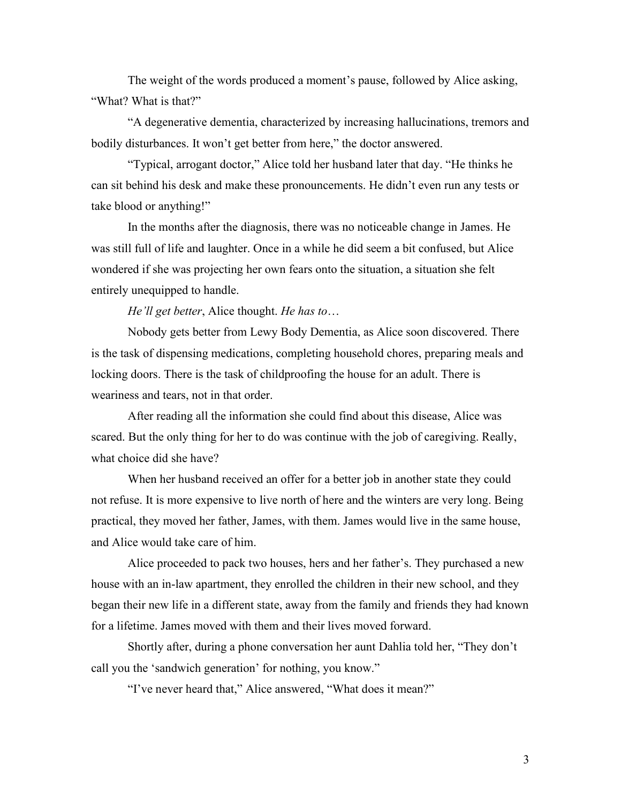The weight of the words produced a moment's pause, followed by Alice asking, "What? What is that?"

"A degenerative dementia, characterized by increasing hallucinations, tremors and bodily disturbances. It won't get better from here," the doctor answered.

"Typical, arrogant doctor," Alice told her husband later that day. "He thinks he can sit behind his desk and make these pronouncements. He didn't even run any tests or take blood or anything!"

In the months after the diagnosis, there was no noticeable change in James. He was still full of life and laughter. Once in a while he did seem a bit confused, but Alice wondered if she was projecting her own fears onto the situation, a situation she felt entirely unequipped to handle.

*He'll get better*, Alice thought. *He has to*…

Nobody gets better from Lewy Body Dementia, as Alice soon discovered. There is the task of dispensing medications, completing household chores, preparing meals and locking doors. There is the task of childproofing the house for an adult. There is weariness and tears, not in that order.

After reading all the information she could find about this disease, Alice was scared. But the only thing for her to do was continue with the job of caregiving. Really, what choice did she have?

When her husband received an offer for a better job in another state they could not refuse. It is more expensive to live north of here and the winters are very long. Being practical, they moved her father, James, with them. James would live in the same house, and Alice would take care of him.

Alice proceeded to pack two houses, hers and her father's. They purchased a new house with an in-law apartment, they enrolled the children in their new school, and they began their new life in a different state, away from the family and friends they had known for a lifetime. James moved with them and their lives moved forward.

Shortly after, during a phone conversation her aunt Dahlia told her, "They don't call you the 'sandwich generation' for nothing, you know."

"I've never heard that," Alice answered, "What does it mean?"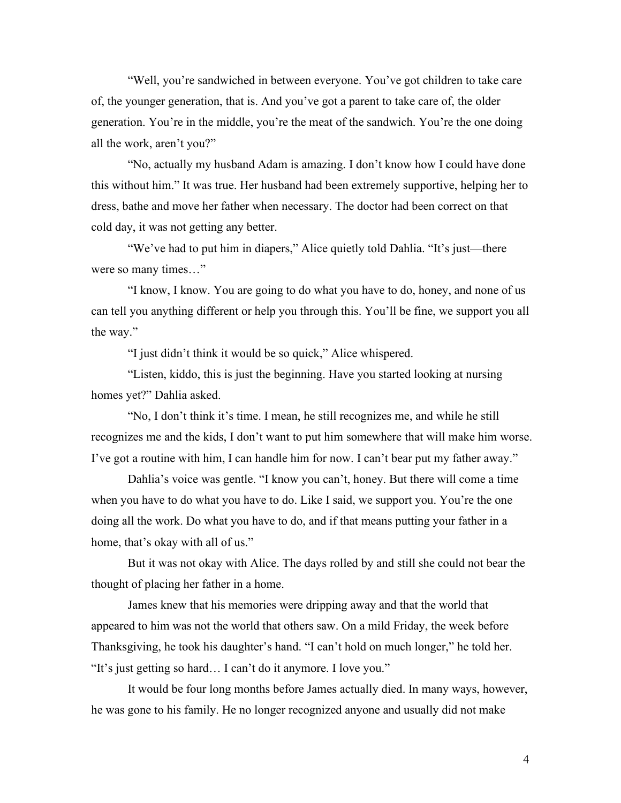"Well, you're sandwiched in between everyone. You've got children to take care of, the younger generation, that is. And you've got a parent to take care of, the older generation. You're in the middle, you're the meat of the sandwich. You're the one doing all the work, aren't you?"

"No, actually my husband Adam is amazing. I don't know how I could have done this without him." It was true. Her husband had been extremely supportive, helping her to dress, bathe and move her father when necessary. The doctor had been correct on that cold day, it was not getting any better.

"We've had to put him in diapers," Alice quietly told Dahlia. "It's just—there were so many times…"

"I know, I know. You are going to do what you have to do, honey, and none of us can tell you anything different or help you through this. You'll be fine, we support you all the way."

"I just didn't think it would be so quick," Alice whispered.

"Listen, kiddo, this is just the beginning. Have you started looking at nursing homes yet?" Dahlia asked.

"No, I don't think it's time. I mean, he still recognizes me, and while he still recognizes me and the kids, I don't want to put him somewhere that will make him worse. I've got a routine with him, I can handle him for now. I can't bear put my father away."

Dahlia's voice was gentle. "I know you can't, honey. But there will come a time when you have to do what you have to do. Like I said, we support you. You're the one doing all the work. Do what you have to do, and if that means putting your father in a home, that's okay with all of us."

But it was not okay with Alice. The days rolled by and still she could not bear the thought of placing her father in a home.

James knew that his memories were dripping away and that the world that appeared to him was not the world that others saw. On a mild Friday, the week before Thanksgiving, he took his daughter's hand. "I can't hold on much longer," he told her. "It's just getting so hard… I can't do it anymore. I love you."

It would be four long months before James actually died. In many ways, however, he was gone to his family. He no longer recognized anyone and usually did not make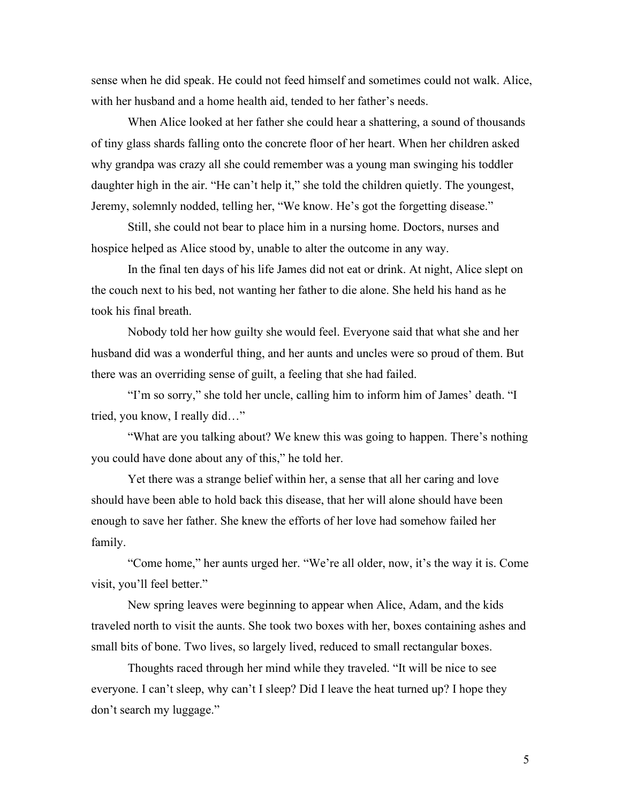sense when he did speak. He could not feed himself and sometimes could not walk. Alice, with her husband and a home health aid, tended to her father's needs.

When Alice looked at her father she could hear a shattering, a sound of thousands of tiny glass shards falling onto the concrete floor of her heart. When her children asked why grandpa was crazy all she could remember was a young man swinging his toddler daughter high in the air. "He can't help it," she told the children quietly. The youngest, Jeremy, solemnly nodded, telling her, "We know. He's got the forgetting disease."

Still, she could not bear to place him in a nursing home. Doctors, nurses and hospice helped as Alice stood by, unable to alter the outcome in any way.

In the final ten days of his life James did not eat or drink. At night, Alice slept on the couch next to his bed, not wanting her father to die alone. She held his hand as he took his final breath.

Nobody told her how guilty she would feel. Everyone said that what she and her husband did was a wonderful thing, and her aunts and uncles were so proud of them. But there was an overriding sense of guilt, a feeling that she had failed.

"I'm so sorry," she told her uncle, calling him to inform him of James' death. "I tried, you know, I really did…"

"What are you talking about? We knew this was going to happen. There's nothing you could have done about any of this," he told her.

Yet there was a strange belief within her, a sense that all her caring and love should have been able to hold back this disease, that her will alone should have been enough to save her father. She knew the efforts of her love had somehow failed her family.

"Come home," her aunts urged her. "We're all older, now, it's the way it is. Come visit, you'll feel better."

New spring leaves were beginning to appear when Alice, Adam, and the kids traveled north to visit the aunts. She took two boxes with her, boxes containing ashes and small bits of bone. Two lives, so largely lived, reduced to small rectangular boxes.

Thoughts raced through her mind while they traveled. "It will be nice to see everyone. I can't sleep, why can't I sleep? Did I leave the heat turned up? I hope they don't search my luggage."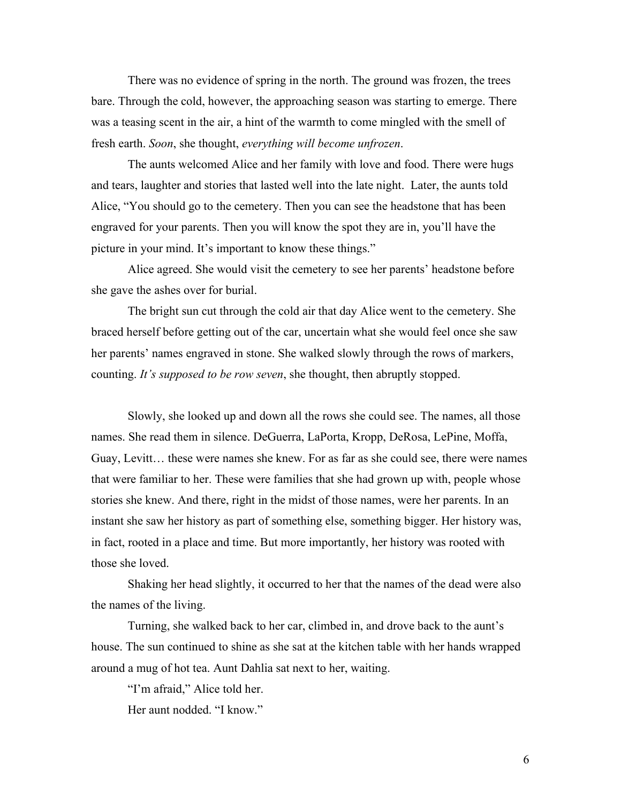There was no evidence of spring in the north. The ground was frozen, the trees bare. Through the cold, however, the approaching season was starting to emerge. There was a teasing scent in the air, a hint of the warmth to come mingled with the smell of fresh earth. *Soon*, she thought, *everything will become unfrozen*.

The aunts welcomed Alice and her family with love and food. There were hugs and tears, laughter and stories that lasted well into the late night. Later, the aunts told Alice, "You should go to the cemetery. Then you can see the headstone that has been engraved for your parents. Then you will know the spot they are in, you'll have the picture in your mind. It's important to know these things."

Alice agreed. She would visit the cemetery to see her parents' headstone before she gave the ashes over for burial.

The bright sun cut through the cold air that day Alice went to the cemetery. She braced herself before getting out of the car, uncertain what she would feel once she saw her parents' names engraved in stone. She walked slowly through the rows of markers, counting. *It's supposed to be row seven*, she thought, then abruptly stopped.

Slowly, she looked up and down all the rows she could see. The names, all those names. She read them in silence. DeGuerra, LaPorta, Kropp, DeRosa, LePine, Moffa, Guay, Levitt… these were names she knew. For as far as she could see, there were names that were familiar to her. These were families that she had grown up with, people whose stories she knew. And there, right in the midst of those names, were her parents. In an instant she saw her history as part of something else, something bigger. Her history was, in fact, rooted in a place and time. But more importantly, her history was rooted with those she loved.

Shaking her head slightly, it occurred to her that the names of the dead were also the names of the living.

Turning, she walked back to her car, climbed in, and drove back to the aunt's house. The sun continued to shine as she sat at the kitchen table with her hands wrapped around a mug of hot tea. Aunt Dahlia sat next to her, waiting.

"I'm afraid," Alice told her.

Her aunt nodded. "I know."

6